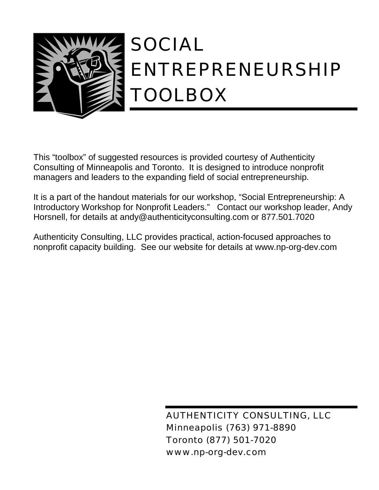

This "toolbox" of suggested resources is provided courtesy of Authenticity Consulting of Minneapolis and Toronto. It is designed to introduce nonprofit managers and leaders to the expanding field of social entrepreneurship.

It is a part of the handout materials for our workshop, "Social Entrepreneurship: A Introductory Workshop for Nonprofit Leaders." Contact our workshop leader, Andy Horsnell, for details at andy@authenticityconsulting.com or 877.501.7020

Authenticity Consulting, LLC provides practical, action-focused approaches to nonprofit capacity building. See our website for details at www.np-org-dev.com

> AUTHENTICITY CONSULTING, LLC Minneapolis (763) 971-8890 Toronto (877) 501-7020 www.np-org-dev.com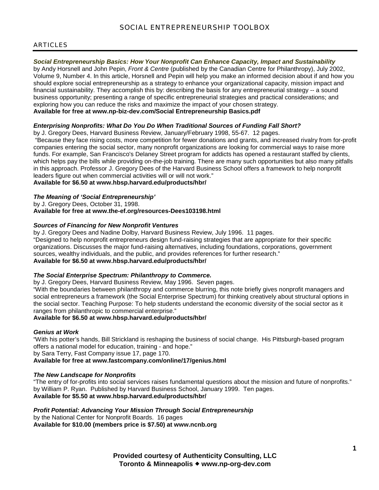# ARTICLES

# *Social Entrepreneurship Basics: How Your Nonprofit Can Enhance Capacity, Impact and Sustainability*

by Andy Horsnell and John Pepin, *Front & Centre* (published by the Canadian Centre for Philanthropy), July 2002, Volume 9, Number 4. In this article, Horsnell and Pepin will help you make an informed decision about if and how you should explore social entrepreneurship as a strategy to enhance your organizational capacity, mission impact and financial sustainability. They accomplish this by: describing the basis for any entrepreneurial strategy -- a sound business opportunity; presenting a range of specific entrepreneurial strategies and practical considerations; and exploring how you can reduce the risks and maximize the impact of your chosen strategy. **Available for free at www.np-biz-dev.com/Social Entrepreneurship Basics.pdf**

# *Enterprising Nonprofits: What Do You Do When Traditional Sources of Funding Fall Short?*

by J. Gregory Dees, Harvard Business Review, January/February 1998, 55-67. 12 pages.

 "Because they face rising costs, more competition for fewer donations and grants, and increased rivalry from for-profit companies entering the social sector, many nonprofit organizations are looking for commercial ways to raise more funds. For example, San Francisco's Delaney Street program for addicts has opened a restaurant staffed by clients, which helps pay the bills while providing on-the-job training. There are many such opportunities but also many pitfalls in this approach. Professor J. Gregory Dees of the Harvard Business School offers a framework to help nonprofit leaders figure out when commercial activities will or will not work."

**Available for \$6.50 at www.hbsp.harvard.edu/products/hbr/** 

# *The Meaning of 'Social Entrepreneurship'*

by J. Gregory Dees, October 31, 1998.

**Available for free at www.the-ef.org/resources-Dees103198.html** 

# *Sources of Financing for New Nonprofit Ventures*

by J. Gregory Dees and Nadine Dolby, Harvard Business Review, July 1996. 11 pages. "Designed to help nonprofit entrepreneurs design fund-raising strategies that are appropriate for their specific organizations. Discusses the major fund-raising alternatives, including foundations, corporations, government sources, wealthy individuals, and the public, and provides references for further research." **Available for \$6.50 at www.hbsp.harvard.edu/products/hbr/** 

# *The Social Enterprise Spectrum: Philanthropy to Commerce.*

by J. Gregory Dees, Harvard Business Review, May 1996. Seven pages.

"With the boundaries between philanthropy and commerce blurring, this note briefly gives nonprofit managers and social entrepreneurs a framework (the Social Enterprise Spectrum) for thinking creatively about structural options in the social sector. Teaching Purpose: To help students understand the economic diversity of the social sector as it ranges from philanthropic to commercial enterprise."

# **Available for \$6.50 at www.hbsp.harvard.edu/products/hbr/**

# *Genius at Work*

"With his potter's hands, Bill Strickland is reshaping the business of social change. His Pittsburgh-based program offers a national model for education, training - and hope." by Sara Terry, Fast Company issue 17, page 170.

**Available for free at www.fastcompany.com/online/17/genius.html** 

# *The New Landscape for Nonprofits*

"The entry of for-profits into social services raises fundamental questions about the mission and future of nonprofits." by William P. Ryan. Published by Harvard Business School, January 1999. Ten pages. **Available for \$5.50 at www.hbsp.harvard.edu/products/hbr/** 

# *Profit Potential: Advancing Your Mission Through Social Entrepreneurship*

by the National Center for Nonprofit Boards. 16 pages **Available for \$10.00 (members price is \$7.50) at www.ncnb.org** 

> **Provided courtesy of Authenticity Consulting, LLC Toronto & Minneapolis** ! **www.np-org-dev.com**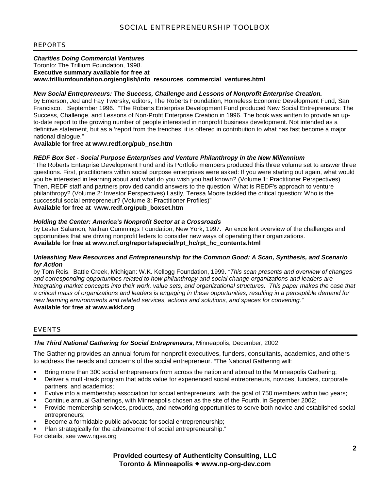# REPORTS

# *Charities Doing Commercial Ventures*

Toronto: The Trillium Foundation, 1998. **Executive summary available for free at www.trilliumfoundation.org/english/info\_resources\_commercial\_ventures.html** 

### *New Social Entrepreneurs: The Success, Challenge and Lessons of Nonprofit Enterprise Creation.*

by Emerson, Jed and Fay Twersky, editors, The Roberts Foundation, Homeless Economic Development Fund, San Francisco. September 1996. "The Roberts Enterprise Development Fund produced New Social Entrepreneurs: The Success, Challenge, and Lessons of Non-Profit Enterprise Creation in 1996. The book was written to provide an upto-date report to the growing number of people interested in nonprofit business development. Not intended as a definitive statement, but as a 'report from the trenches' it is offered in contribution to what has fast become a major national dialogue."

**Available for free at www.redf.org/pub\_nse.htm** 

## *REDF Box Set - Social Purpose Enterprises and Venture Philanthropy in the New Millennium*

"The Roberts Enterprise Development Fund and its Portfolio members produced this three volume set to answer three questions. First, practitioners within social purpose enterprises were asked: If you were starting out again, what would you be interested in learning about and what do you wish you had known? (Volume 1: Practitioner Perspectives) Then, REDF staff and partners provided candid answers to the question: What is REDF's approach to venture philanthropy? (Volume 2: Investor Perspectives) Lastly, Teresa Moore tackled the critical question: Who is the successful social entrepreneur? (Volume 3: Practitioner Profiles)"

# **Available for free at www.redf.org/pub\_boxset.htm**

### *Holding the Center: America's Nonprofit Sector at a Crossroads*

by Lester Salamon, Nathan Cummings Foundation, New York, 1997. An excellent overview of the challenges and opportunities that are driving nonprofit leders to consider new ways of operating their organizations. **Available for free at www.ncf.org/reports/special/rpt\_hc/rpt\_hc\_contents.html** 

### *Unleashing New Resources and Entrepreneurship for the Common Good: A Scan, Synthesis, and Scenario for Action*

by Tom Reis. Battle Creek, Michigan: W.K. Kellogg Foundation, 1999. *"This scan presents and overview of changes and corresponding opportunities related to how philanthropy and social change organizations and leaders are integrating market concepts into their work, value sets, and organizational structures. This paper makes the case that a critical mass of organizations and leaders is engaging in these opportunities, resulting in a perceptible demand for new learning environments and related services, actions and solutions, and spaces for convening."* **Available for free at www.wkkf.org** 

## EVENTS

# *The Third National Gathering for Social Entrepreneurs,* Minneapolis, December, 2002

The Gathering provides an annual forum for nonprofit executives, funders, consultants, academics, and others to address the needs and concerns of the social entrepreneur. "The National Gathering will:

- Bring more than 300 social entrepreneurs from across the nation and abroad to the Minneapolis Gathering;
- ! Deliver a multi-track program that adds value for experienced social entrepreneurs, novices, funders, corporate partners, and academics;
- ! Evolve into a membership association for social entrepreneurs, with the goal of 750 members within two years;
- ! Continue annual Gatherings, with Minneapolis chosen as the site of the Fourth, in September 2002;
- ! Provide membership services, products, and networking opportunities to serve both novice and established social entrepreneurs;
- Become a formidable public advocate for social entrepreneurship;
- ! Plan strategically for the advancement of social entrepreneurship."

For details, see www.ngse.org

# **Provided courtesy of Authenticity Consulting, LLC Toronto & Minneapolis** ! **www.np-org-dev.com**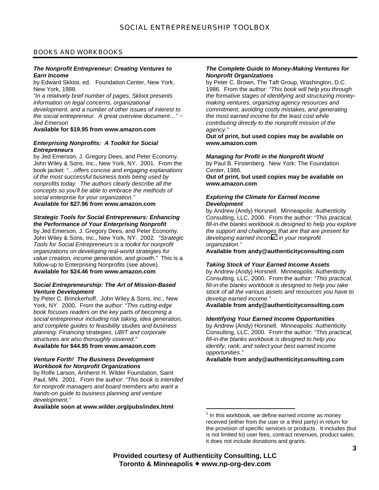# BOOKS AND WORKBOOKS

#### *The Nonprofit Entrepreneur: Creating Ventures to Earn Income*

by Edward Skloot, ed. Foundation Center, New York, New York, 1988.

*"In a relatively brief number of pages, Skloot presents information on legal concerns, organizational development, and a number of other issues of interest to the social entrepreneur. A great overview document…" ~ Jed Emerson* 

# **Available for \$19.95 from www.amazon.com**

### *Enterprising Nonprofits: A Toolkit for Social Entrepreneurs*

by Jed Emerson, J. Gregory Dees, and Peter Economy. John Wiley & Sons, Inc., New York, NY. 2001. From the book jacket: *"…offers concise and engaging explanations of the most successful business tools being used by nonprofits today. The authors clearly describe all the concepts so you'll be able to embrace the methods of social enterprise for your organization."* 

### **Available for \$27.96 from www.amazon.com**

#### *Strategic Tools for Social Entrepreneurs: Enhancing the Performance of Your Enterprising Nonprofit*

by Jed Emerson, J. Gregory Dees, and Peter Economy. John Wiley & Sons, Inc., New York, NY. 2002*. "Strategic Tools for Social Entrepreneurs is a toolkit for nonprofit organizations on developing real-world strategies for value creation, income generation, and growth."* This is a follow-up to Enterprising Nonprofits (see above). **Available for \$24.46 from www.amazon.com** 

#### *Social Entrepreneurship: The Art of Mission-Based Venture Development*

by Peter C. Brinckerhoff. John Wiley & Sons, Inc., New York, NY. 2000. From the author: *"This cutting-edge book focuses readers on the key parts of becoming a social entrepreneur including risk taking, idea generation, and complete guides to feasibility studies and business planning. Financing strategies, UBIT and corporate structures are also thoroughly covered."* 

#### **Available for \$44.95 from www.amazon.com**

#### *Venture Forth! The Business Development Workbook for Nonprofit Organizations*

by Rolfe Larson, Amherst H. Wilder Foundation, Saint Paul, MN. 2001. From the author: *"This book is intended for nonprofit managers and board members who want a hands-on guide to business planning and venture development."*

**Available soon at www.wilder.org/pubs/index.html** 

#### *The Complete Guide to Money-Making Ventures for Nonprofit Organizations*

by Peter C. Brown, The Taft Group, Washington, D.C. 1986. From the author: *"This book will help you through the formative stages of identifying and structuring moneymaking ventures, organizing agency resources and commitment, avoiding costly mistakes, and generating the most earned income for the least cost while contributing directly to the nonprofit mission of the agency."*

**Out of print, but used copies may be available on www.amazon.com** 

# *Managing for Profit in the Nonprofit World*

by Paul B. Firstenberg. New York: The Foundation Center, 1986.

**Out of print, but used copies may be available on www.amazon.com** 

#### *Exploring the Climate for Earned Income Development*

by Andrew (Andy) Horsnell. Minneapolis: Authenticity Consulting, LLC, 2000. From the author: *"This practical, fill-in-the blanks workbook is designed to help you explore the support and challenges that are that are present for developing earned income1 in your nonprofit organization."* 

**Available from andy@authenticityconsulting.com** 

#### *Taking Stock of Your Earned Income Assets*

by Andrew (Andy) Horsnell. Minneapolis: Authenticity Consulting, LLC, 2000. From the author: *"This practical, fill-in-the blanks workbook is designed to help you take stock of all the various assets and resources you have to develop earned income."*

**Available from andy@authenticityconsulting.com** 

#### *Identifying Your Earned Income Opportunities*

by Andrew (Andy) Horsnell. Minneapolis: Authenticity Consulting, LLC, 2000. From the author: *"This practical, fill-in-the blanks workbook is designed to help you identify, rank, and select your best earned income opportunities."*

**Available from andy@authenticityconsulting.com** 

 $\overline{a}$ 

 $1$  In this workbook, we define earned income as money received (either from the user or a third party) in return for the provision of specific services or products. It includes (but is not limited to) user fees, contract revenues, product sales; it does not include donations and grants.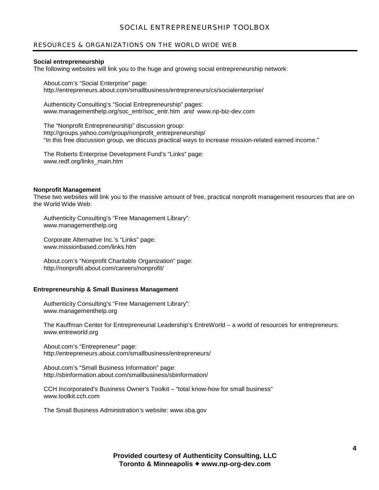# SOCIAL ENTREPRENEURSHIP TOOLBOX

# RESOURCES & ORGANIZATIONS ON THE WORLD WIDE WEB

### **Social entrepreneurship**

The following websites will link you to the huge and growing social entrepreneurship network:

About.com's "Social Enterprise" page: http://entrepreneurs.about.com/smallbusiness/entrepreneurs/cs/socialenterprise/

Authenticity Consulting's "Social Entrepreneurship" pages: www.managementhelp.org/soc\_entr/soc\_entr.htm *and* www.np-biz-dev.com

The "Nonprofit Entrepreneurship" discussion group: http://groups.yahoo.com/group/nonprofit\_entrepreneurship/ "In this free discussion group, we discuss practical ways to increase mission-related earned income."

The Roberts Enterprise Development Fund's "Links" page: www.redf.org/links\_main.htm

### **Nonprofit Management**

These two websites will link you to the massive amount of free, practical nonprofit management resources that are on the World Wide Web:

Authenticity Consulting's "Free Management Library": www.managementhelp.org

Corporate Alternative Inc.'s "Links" page: www.missionbased.com/links.htm

About.com's "Nonprofit Charitable Organization" page: http://nonprofit.about.com/careers/nonprofit/

### **Entrepreneurship & Small Business Management**

Authenticity Consulting's "Free Management Library": www.managementhelp.org

The Kauffman Center for Entrepreneurial Leadership's EntreWorld – a world of resources for entrepreneurs: www.entreworld.org

About.com's "Entrepreneur" page: http://entrepreneurs.about.com/smallbusiness/entrepreneurs/

About.com's "Small Business Information" page: http://sbinformation.about.com/smallbusiness/sbinformation/

CCH Incorporated's Business Owner's Toolkit – "total know-how for small business" www.toolkit.cch.com

The Small Business Administration's website: www.sba.gov